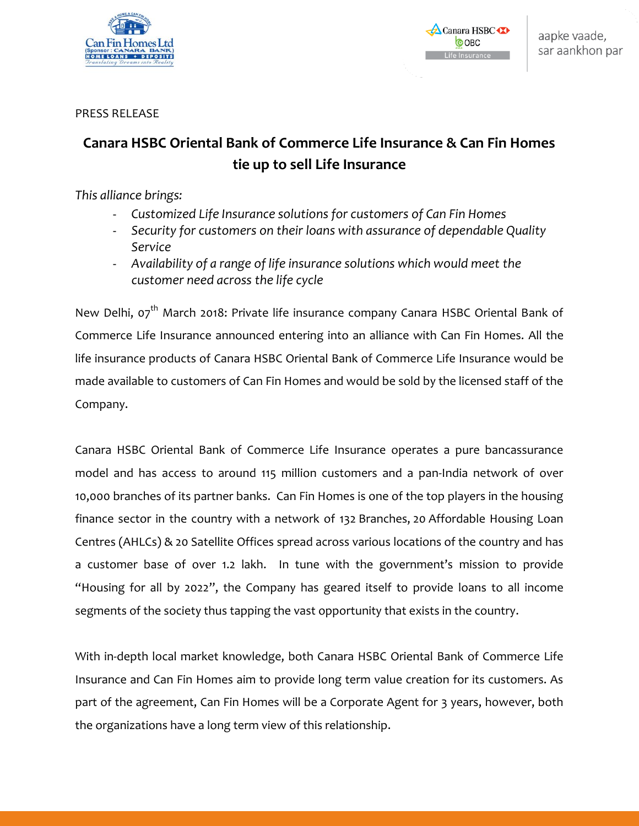

Canara HSBC **COBC** ife Insurance

PRESS RELEASE

## **Canara HSBC Oriental Bank of Commerce Life Insurance & Can Fin Homes tie up to sell Life Insurance**

*This alliance brings:*

- *Customized Life Insurance solutions for customers of Can Fin Homes*
- *Security for customers on their loans with assurance of dependable Quality Service*
- *Availability of a range of life insurance solutions which would meet the customer need across the life cycle*

New Delhi, 07<sup>th</sup> March 2018: Private life insurance company Canara HSBC Oriental Bank of Commerce Life Insurance announced entering into an alliance with Can Fin Homes. All the life insurance products of Canara HSBC Oriental Bank of Commerce Life Insurance would be made available to customers of Can Fin Homes and would be sold by the licensed staff of the Company.

Canara HSBC Oriental Bank of Commerce Life Insurance operates a pure bancassurance model and has access to around 115 million customers and a pan-India network of over 10,000 branches of its partner banks. Can Fin Homes is one of the top players in the housing finance sector in the country with a network of 132 Branches, 20 Affordable Housing Loan Centres (AHLCs) & 20 Satellite Offices spread across various locations of the country and has a customer base of over 1.2 lakh. In tune with the government's mission to provide "Housing for all by 2022", the Company has geared itself to provide loans to all income segments of the society thus tapping the vast opportunity that exists in the country.

With in-depth local market knowledge, both Canara HSBC Oriental Bank of Commerce Life Insurance and Can Fin Homes aim to provide long term value creation for its customers. As part of the agreement, Can Fin Homes will be a Corporate Agent for 3 years, however, both the organizations have a long term view of this relationship.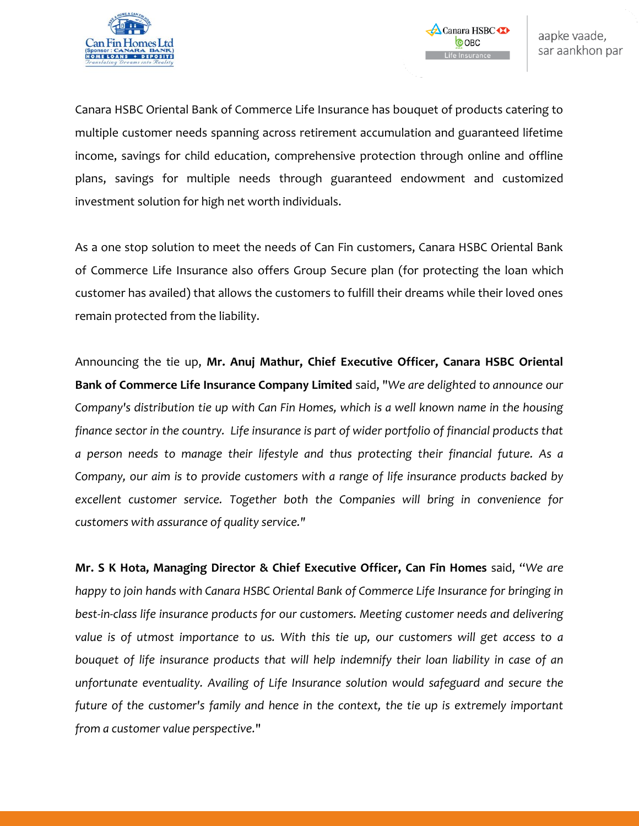

Canara HSBC Oriental Bank of Commerce Life Insurance has bouquet of products catering to multiple customer needs spanning across retirement accumulation and guaranteed lifetime income, savings for child education, comprehensive protection through online and offline plans, savings for multiple needs through guaranteed endowment and customized investment solution for high net worth individuals.

As a one stop solution to meet the needs of Can Fin customers, Canara HSBC Oriental Bank of Commerce Life Insurance also offers Group Secure plan (for protecting the loan which customer has availed) that allows the customers to fulfill their dreams while their loved ones remain protected from the liability.

Announcing the tie up, **Mr. Anuj Mathur, Chief Executive Officer, Canara HSBC Oriental Bank of Commerce Life Insurance Company Limited** said, "*We are delighted to announce our Company's distribution tie up with Can Fin Homes, which is a well known name in the housing finance sector in the country. Life insurance is part of wider portfolio of financial products that a person needs to manage their lifestyle and thus protecting their financial future. As a Company, our aim is to provide customers with a range of life insurance products backed by excellent customer service. Together both the Companies will bring in convenience for customers with assurance of quality service."*

**Mr. S K Hota, Managing Director & Chief Executive Officer, Can Fin Homes** said, "*We are happy to join hands with Canara HSBC Oriental Bank of Commerce Life Insurance for bringing in best-in-class life insurance products for our customers. Meeting customer needs and delivering value is of utmost importance to us. With this tie up, our customers will get access to a bouquet of life insurance products that will help indemnify their loan liability in case of an unfortunate eventuality. Availing of Life Insurance solution would safeguard and secure the future of the customer's family and hence in the context, the tie up is extremely important from a customer value perspective.*"